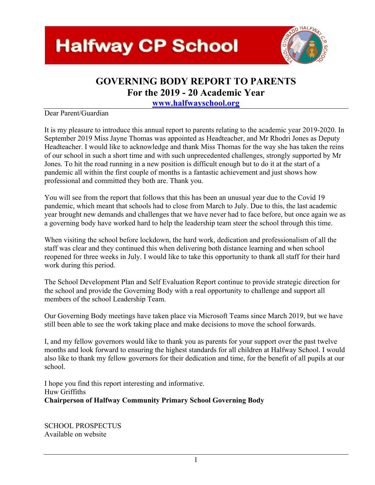## **Halfway CP School**



#### **GOVERNING BODY REPORT TO PARENTS For the 2019 - 20 Academic Year**

**www.halfwayschool.org** 

#### Dear Parent/Guardian

It is my pleasure to introduce this annual report to parents relating to the academic year 2019-2020. In September 2019 Miss Jayne Thomas was appointed as Headteacher, and Mr Rhodri Jones as Deputy Headteacher. I would like to acknowledge and thank Miss Thomas for the way she has taken the reins of our school in such a short time and with such unprecedented challenges, strongly supported by Mr Jones. To hit the road running in a new position is difficult enough but to do it at the start of a pandemic all within the first couple of months is a fantastic achievement and just shows how professional and committed they both are. Thank you.

You will see from the report that follows that this has been an unusual year due to the Covid 19 pandemic, which meant that schools had to close from March to July. Due to this, the last academic year brought new demands and challenges that we have never had to face before, but once again we as a governing body have worked hard to help the leadership team steer the school through this time.

When visiting the school before lockdown, the hard work, dedication and professionalism of all the staff was clear and they continued this when delivering both distance learning and when school reopened for three weeks in July. I would like to take this opportunity to thank all staff for their hard work during this period.

The School Development Plan and Self Evaluation Report continue to provide strategic direction for the school and provide the Governing Body with a real opportunity to challenge and support all members of the school Leadership Team.

Our Governing Body meetings have taken place via Microsoft Teams since March 2019, but we have still been able to see the work taking place and make decisions to move the school forwards.

I, and my fellow governors would like to thank you as parents for your support over the past twelve months and look forward to ensuring the highest standards for all children at Halfway School. I would also like to thank my fellow governors for their dedication and time, for the benefit of all pupils at our school.

I hope you find this report interesting and informative. Huw Griffiths **Chairperson of Halfway Community Primary School Governing Body**

SCHOOL PROSPECTUS Available on website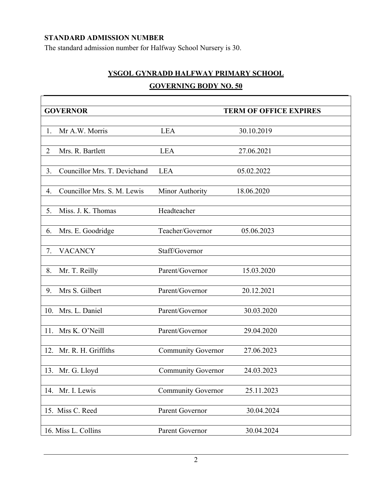#### **STANDARD ADMISSION NUMBER**

Г

The standard admission number for Halfway School Nursery is 30.

#### **YSGOL GYNRADD HALFWAY PRIMARY SCHOOL GOVERNING BODY NO. 50**

|                | <b>GOVERNOR</b>              |                           | <b>TERM OF OFFICE EXPIRES</b> |
|----------------|------------------------------|---------------------------|-------------------------------|
|                |                              |                           |                               |
| 1.             | Mr A.W. Morris               | <b>LEA</b>                | 30.10.2019                    |
| $\overline{2}$ | Mrs. R. Bartlett             | <b>LEA</b>                | 27.06.2021                    |
| 3.             | Councillor Mrs. T. Devichand | <b>LEA</b>                | 05.02.2022                    |
| 4.             | Councillor Mrs. S. M. Lewis  | Minor Authority           | 18.06.2020                    |
| 5.             | Miss. J. K. Thomas           | Headteacher               |                               |
| 6.             | Mrs. E. Goodridge            | Teacher/Governor          | 05.06.2023                    |
| 7.             | <b>VACANCY</b>               | Staff/Governor            |                               |
| 8.             | Mr. T. Reilly                | Parent/Governor           | 15.03.2020                    |
| 9.             | Mrs S. Gilbert               | Parent/Governor           | 20.12.2021                    |
| 10.            | Mrs. L. Daniel               | Parent/Governor           | 30.03.2020                    |
| 11.            | Mrs K. O'Neill               | Parent/Governor           | 29.04.2020                    |
| 12.            | Mr. R. H. Griffiths          | <b>Community Governor</b> | 27.06.2023                    |
|                | 13. Mr. G. Lloyd             | <b>Community Governor</b> | 24.03.2023                    |
| 14.            | Mr. I. Lewis                 | <b>Community Governor</b> | 25.11.2023                    |
|                | 15. Miss C. Reed             | Parent Governor           | 30.04.2024                    |
|                | 16. Miss L. Collins          | Parent Governor           | 30.04.2024                    |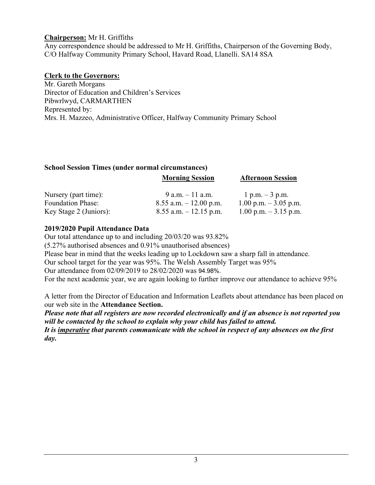#### **Chairperson:** Mr H. Griffiths

Any correspondence should be addressed to Mr H. Griffiths, Chairperson of the Governing Body, C/O Halfway Community Primary School, Havard Road, Llanelli. SA14 8SA

#### **Clerk to the Governors:**

Mr. Gareth Morgans Director of Education and Children's Services Pibwrlwyd, CARMARTHEN Represented by: Mrs. H. Mazzeo, Administrative Officer, Halfway Community Primary School

| <b>School Session Times (under normal circumstances)</b> |                           |                          |  |  |  |  |  |  |
|----------------------------------------------------------|---------------------------|--------------------------|--|--|--|--|--|--|
|                                                          | <b>Morning Session</b>    | <b>Afternoon Session</b> |  |  |  |  |  |  |
| Nursery (part time):                                     | $9$ a.m. $-11$ a.m.       | 1 p.m. $-3$ p.m.         |  |  |  |  |  |  |
| <b>Foundation Phase:</b>                                 | $8.55$ a.m. $-12.00$ p.m. | 1.00 p.m. $-3.05$ p.m.   |  |  |  |  |  |  |
| Key Stage 2 (Juniors):                                   | $8.55$ a.m. $-12.15$ p.m. | 1.00 p.m. $-3.15$ p.m.   |  |  |  |  |  |  |

#### **2019/2020 Pupil Attendance Data**

Our total attendance up to and including 20/03/20 was 93.82%

(5.27% authorised absences and 0.91% unauthorised absences)

Please bear in mind that the weeks leading up to Lockdown saw a sharp fall in attendance.

Our school target for the year was 95%. The Welsh Assembly Target was 95%

Our attendance from 02/09/2019 to 28/02/2020 was 94.98%.

For the next academic year, we are again looking to further improve our attendance to achieve 95%

A letter from the Director of Education and Information Leaflets about attendance has been placed on our web site in the **Attendance Section.**

*Please note that all registers are now recorded electronically and if an absence is not reported you will be contacted by the school to explain why your child has failed to attend. It is imperative that parents communicate with the school in respect of any absences on the first day.*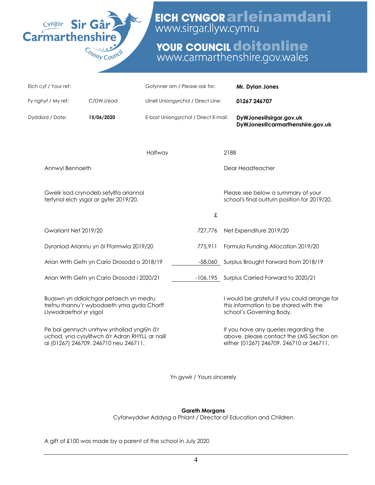

EICH CYNGOR arleinamdani

# **YOUR COUNCIL doitonline**<br>www.carmarthenshire.gov.wales

| Eich cyf / Your ref:   |                                                                                                                                      | Gofynner am / Please ask for:        |         |      | Mr. Dylan Jones                                                                                                               |  |
|------------------------|--------------------------------------------------------------------------------------------------------------------------------------|--------------------------------------|---------|------|-------------------------------------------------------------------------------------------------------------------------------|--|
| Fy nghyf / My ref:     | C/DWJ/ead                                                                                                                            | Llinell Uniongyrchol / Direct Line:  |         |      | 01267 246707                                                                                                                  |  |
| Dyddiad / Date:        | 15/06/2020                                                                                                                           | E-bost Uniongyrchol / Direct E-mail: |         |      | DyWJones@sirgar.gov.uk<br>DyWJones@carmarthenshire.gov.uk                                                                     |  |
|                        |                                                                                                                                      | Halfway                              |         | 2188 |                                                                                                                               |  |
| Annwyl Bennaeth        |                                                                                                                                      |                                      |         |      | Dear Headteacher                                                                                                              |  |
|                        | Gwelir isod crynodeb sefyllfa ariannol<br>terfynol eich ysgol ar gyfer 2019/20.                                                      |                                      |         |      | Please see below a summary of your<br>school's final outturn position for 2019/20.                                            |  |
|                        |                                                                                                                                      |                                      | £       |      |                                                                                                                               |  |
| Gwariant Net 2019/20   |                                                                                                                                      |                                      | 727,776 |      | Net Expenditure 2019/20                                                                                                       |  |
|                        | Dyraniad Ariannu yn ôl Fformwla 2019/20                                                                                              |                                      | 775,911 |      | Formula Funding Allocation 2019/20                                                                                            |  |
|                        | Arian Wrth Gefn yn Cario Drosodd o 2018/19                                                                                           |                                      |         |      | -58,060 Surplus Brought Forward from 2018/19                                                                                  |  |
|                        | Arian Wrth Gefn yn Cario Drosodd i 2020/21                                                                                           |                                      |         |      | -106,195 Surplus Carried Forward to 2020/21                                                                                   |  |
| Llywodraethol yr ysgol | Buaswn yn ddiolchgar petaech yn medru<br>trefnu rhannu'r wybodaeth yma gyda Chorff                                                   |                                      |         |      | I would be grateful if you could arrange for<br>this information to be shared with the<br>school's Governing Body.            |  |
|                        | Pe bai gennych unrhyw ynholiad ynglŷn â'r<br>uchod, yna cysylltwch â'r Adran RHYLL ar naill<br>ai (01267) 246709, 246710 neu 246711. |                                      |         |      | If you have any queries regarding the<br>above, please contact the LMS Section on<br>either (01267) 246709, 246710 or 246711. |  |
|                        |                                                                                                                                      |                                      |         |      |                                                                                                                               |  |

Yn gywir / Yours sincerely

#### **Gareth Morgans**

Cyfarwyddwr Addysg a Phlant / Director of Education and Children

A gift of £100 was made by a parent of the school in July 2020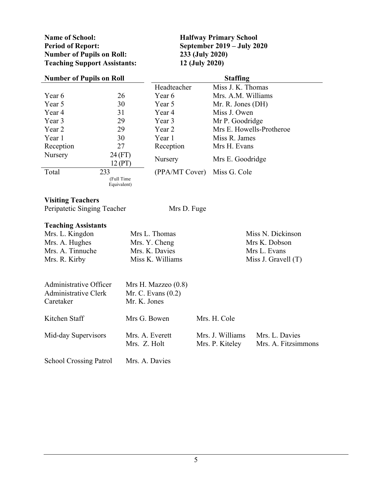**Name of School: Halfway Primary School Period of Report:**<br> **September 2019** – **July 2020**<br> **Number of Pupils on Roll:**<br> **233 (July 2020) Number of Pupils on Roll:** 233 **(July 2020)**<br> **233 (July 2020)**<br> **2233 (July 2020)**  $T$ eaching Support Assistants:

| <b>Number of Pupils on Roll</b> |                           | <b>Staffing</b>       |                          |                     |  |  |
|---------------------------------|---------------------------|-----------------------|--------------------------|---------------------|--|--|
|                                 |                           | Headteacher           | Miss J. K. Thomas        |                     |  |  |
| Year 6                          | 26                        | Year 6                | Mrs. A.M. Williams       |                     |  |  |
| Year 5                          | 30                        | Year 5                | Mr. R. Jones (DH)        |                     |  |  |
| Year 4                          | 31                        | Year 4                | Miss J. Owen             |                     |  |  |
| Year 3                          | 29                        | Year 3                | Mr P. Goodridge          |                     |  |  |
| Year 2                          | 29                        | Year 2                | Mrs E. Howells-Protheroe |                     |  |  |
| Year 1                          | 30                        | Year 1                | Miss R. James            |                     |  |  |
| Reception                       | 27                        | Reception             | Mrs H. Evans             |                     |  |  |
| Nursery                         | 24 (FT)                   | Nursery               | Mrs E. Goodridge         |                     |  |  |
|                                 | 12 (PT)                   |                       |                          |                     |  |  |
| Total                           | 233                       | (PPA/MT Cover)        | Miss G. Cole             |                     |  |  |
|                                 | (Full Time<br>Equivalent) |                       |                          |                     |  |  |
|                                 |                           |                       |                          |                     |  |  |
| <b>Visiting Teachers</b>        |                           |                       |                          |                     |  |  |
| Peripatetic Singing Teacher     |                           | Mrs D. Fuge           |                          |                     |  |  |
|                                 |                           |                       |                          |                     |  |  |
| <b>Teaching Assistants</b>      |                           |                       |                          |                     |  |  |
| Mrs. L. Kingdon                 |                           | Mrs L. Thomas         |                          | Miss N. Dickinson   |  |  |
| Mrs. A. Hughes                  |                           | Mrs. Y. Cheng         |                          | Mrs K. Dobson       |  |  |
| Mrs. A. Tinnuche                |                           | Mrs. K. Davies        | Mrs L. Evans             |                     |  |  |
| Mrs. R. Kirby                   |                           | Miss K. Williams      | Miss J. Gravell $(T)$    |                     |  |  |
|                                 |                           |                       |                          |                     |  |  |
|                                 |                           |                       |                          |                     |  |  |
| Administrative Officer          |                           | Mrs H. Mazzeo $(0.8)$ |                          |                     |  |  |
| <b>Administrative Clerk</b>     |                           | Mr. C. Evans $(0.2)$  |                          |                     |  |  |
| Caretaker                       | Mr. K. Jones              |                       |                          |                     |  |  |
|                                 |                           |                       |                          |                     |  |  |
| Kitchen Staff                   | Mrs G. Bowen              |                       | Mrs. H. Cole             |                     |  |  |
|                                 |                           |                       |                          |                     |  |  |
| Mid-day Supervisors             | Mrs. A. Everett           |                       | Mrs. J. Williams         | Mrs. L. Davies      |  |  |
|                                 | Mrs. Z. Holt              |                       | Mrs. P. Kiteley          | Mrs. A. Fitzsimmons |  |  |
|                                 |                           |                       |                          |                     |  |  |
| <b>School Crossing Patrol</b>   | Mrs. A. Davies            |                       |                          |                     |  |  |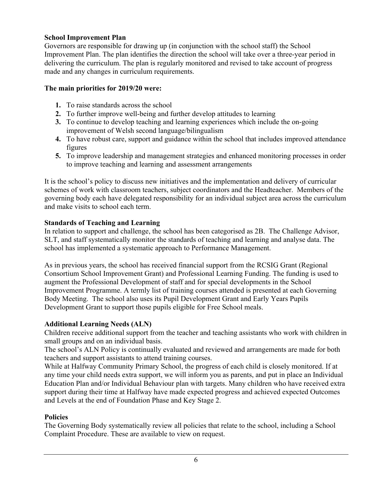#### **School Improvement Plan**

Governors are responsible for drawing up (in conjunction with the school staff) the School Improvement Plan. The plan identifies the direction the school will take over a three-year period in delivering the curriculum. The plan is regularly monitored and revised to take account of progress made and any changes in curriculum requirements.

#### **The main priorities for 2019/20 were:**

- **1.** To raise standards across the school
- **2.** To further improve well-being and further develop attitudes to learning
- **3.** To continue to develop teaching and learning experiences which include the on-going improvement of Welsh second language/bilingualism
- **4.** To have robust care, support and guidance within the school that includes improved attendance figures
- **5.** To improve leadership and management strategies and enhanced monitoring processes in order to improve teaching and learning and assessment arrangements

It is the school's policy to discuss new initiatives and the implementation and delivery of curricular schemes of work with classroom teachers, subject coordinators and the Headteacher. Members of the governing body each have delegated responsibility for an individual subject area across the curriculum and make visits to school each term.

#### **Standards of Teaching and Learning**

In relation to support and challenge, the school has been categorised as 2B. The Challenge Advisor, SLT, and staff systematically monitor the standards of teaching and learning and analyse data. The school has implemented a systematic approach to Performance Management.

As in previous years, the school has received financial support from the RCSIG Grant (Regional Consortium School Improvement Grant) and Professional Learning Funding. The funding is used to augment the Professional Development of staff and for special developments in the School Improvement Programme. A termly list of training courses attended is presented at each Governing Body Meeting. The school also uses its Pupil Development Grant and Early Years Pupils Development Grant to support those pupils eligible for Free School meals.

#### **Additional Learning Needs (ALN)**

Children receive additional support from the teacher and teaching assistants who work with children in small groups and on an individual basis.

The school's ALN Policy is continually evaluated and reviewed and arrangements are made for both teachers and support assistants to attend training courses.

While at Halfway Community Primary School, the progress of each child is closely monitored. If at any time your child needs extra support, we will inform you as parents, and put in place an Individual Education Plan and/or Individual Behaviour plan with targets. Many children who have received extra support during their time at Halfway have made expected progress and achieved expected Outcomes and Levels at the end of Foundation Phase and Key Stage 2.

#### **Policies**

The Governing Body systematically review all policies that relate to the school, including a School Complaint Procedure. These are available to view on request.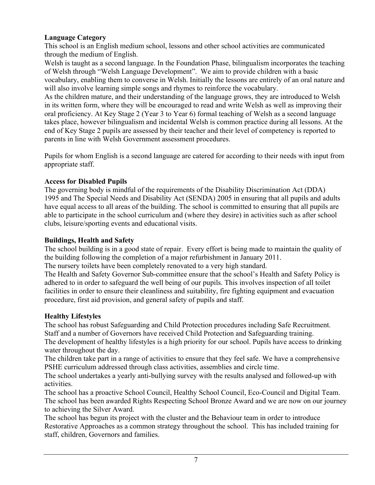#### **Language Category**

This school is an English medium school, lessons and other school activities are communicated through the medium of English.

Welsh is taught as a second language. In the Foundation Phase, bilingualism incorporates the teaching of Welsh through "Welsh Language Development". We aim to provide children with a basic vocabulary, enabling them to converse in Welsh. Initially the lessons are entirely of an oral nature and will also involve learning simple songs and rhymes to reinforce the vocabulary.

As the children mature, and their understanding of the language grows, they are introduced to Welsh in its written form, where they will be encouraged to read and write Welsh as well as improving their oral proficiency. At Key Stage 2 (Year 3 to Year 6) formal teaching of Welsh as a second language takes place, however bilingualism and incidental Welsh is common practice during all lessons. At the end of Key Stage 2 pupils are assessed by their teacher and their level of competency is reported to parents in line with Welsh Government assessment procedures.

Pupils for whom English is a second language are catered for according to their needs with input from appropriate staff.

#### **Access for Disabled Pupils**

The governing body is mindful of the requirements of the Disability Discrimination Act (DDA) 1995 and The Special Needs and Disability Act (SENDA) 2005 in ensuring that all pupils and adults have equal access to all areas of the building. The school is committed to ensuring that all pupils are able to participate in the school curriculum and (where they desire) in activities such as after school clubs, leisure/sporting events and educational visits.

#### **Buildings, Health and Safety**

The school building is in a good state of repair. Every effort is being made to maintain the quality of the building following the completion of a major refurbishment in January 2011.

The nursery toilets have been completely renovated to a very high standard.

The Health and Safety Governor Sub-committee ensure that the school's Health and Safety Policy is adhered to in order to safeguard the well being of our pupils. This involves inspection of all toilet facilities in order to ensure their cleanliness and suitability, fire fighting equipment and evacuation procedure, first aid provision, and general safety of pupils and staff.

#### **Healthy Lifestyles**

The school has robust Safeguarding and Child Protection procedures including Safe Recruitment. Staff and a number of Governors have received Child Protection and Safeguarding training. The development of healthy lifestyles is a high priority for our school. Pupils have access to drinking water throughout the day.

The children take part in a range of activities to ensure that they feel safe. We have a comprehensive PSHE curriculum addressed through class activities, assemblies and circle time.

The school undertakes a yearly anti-bullying survey with the results analysed and followed-up with activities.

The school has a proactive School Council, Healthy School Council, Eco-Council and Digital Team. The school has been awarded Rights Respecting School Bronze Award and we are now on our journey to achieving the Silver Award.

The school has begun its project with the cluster and the Behaviour team in order to introduce Restorative Approaches as a common strategy throughout the school. This has included training for staff, children, Governors and families.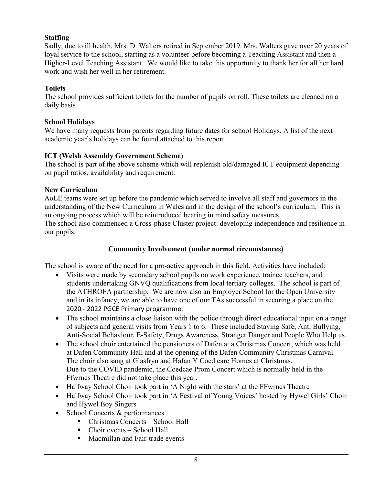#### **Staffing**

Sadly, due to ill health, Mrs. D. Walters retired in September 2019. Mrs. Walters gave over 20 years of loyal service to the school, starting as a volunteer before becoming a Teaching Assistant and then a Higher-Level Teaching Assistant. We would like to take this opportunity to thank her for all her hard work and wish her well in her retirement.

#### **Toilets**

The school provides sufficient toilets for the number of pupils on roll. These toilets are cleaned on a daily basis

#### **School Holidays**

We have many requests from parents regarding future dates for school Holidays. A list of the next academic year's holidays can be found attached to this report.

#### **ICT (Welsh Assembly Government Scheme)**

The school is part of the above scheme which will replenish old/damaged ICT equipment depending on pupil ratios, availability and requirement.

#### **New Curriculum**

AoLE teams were set up before the pandemic which served to involve all staff and governors in the understanding of the New Curriculum in Wales and in the design of the school's curriculum. This is an ongoing process which will be reintroduced bearing in mind safety measures.

The school also commenced a Cross-phase Cluster project: developing independence and resilience in our pupils.

#### **Community Involvement (under normal circumstances)**

The school is aware of the need for a pro-active approach in this field. Activities have included:

- Visits were made by secondary school pupils on work experience, trainee teachers, and students undertaking GNVQ qualifications from local tertiary colleges. The school is part of the ATHROFA partnership. We are now also an Employer School for the Open University and in its infancy, we are able to have one of our TAs successful in securing a place on the 2020 - 2022 PGCE Primary programme.
- The school maintains a close liaison with the police through direct educational input on a range of subjects and general visits from Years 1 to 6. These included Staying Safe, Anti Bullying, Anti-Social Behaviour, E-Safety, Drugs Awareness, Stranger Danger and People Who Help us.
- The school choir entertained the pensioners of Dafen at a Christmas Concert, which was held at Dafen Community Hall and at the opening of the Dafen Community Christmas Carnival. The choir also sang at Glasfryn and Hafan Y Coed care Homes at Christmas. Due to the COVID pandemic, the Coedcae Prom Concert which is normally held in the Ffwrnes Theatre did not take place this year.
- Halfway School Choir took part in 'A Night with the stars' at the FFwrnes Theatre
- Halfway School Choir took part in 'A Festival of Young Voices' hosted by Hywel Girls' Choir and Hywel Boy Singers
- School Concerts & performances
	- Christmas Concerts School Hall
	- Choir events School Hall
	- § Macmillan and Fair-trade events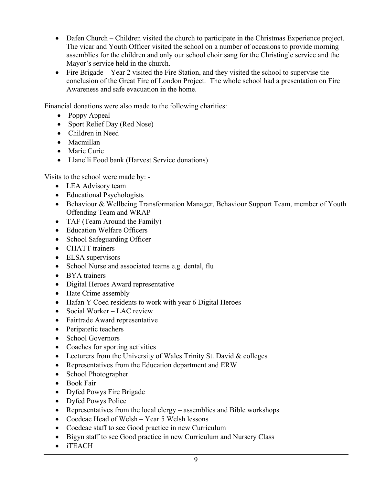- Dafen Church Children visited the church to participate in the Christmas Experience project. The vicar and Youth Officer visited the school on a number of occasions to provide morning assemblies for the children and only our school choir sang for the Christingle service and the Mayor's service held in the church.
- Fire Brigade Year 2 visited the Fire Station, and they visited the school to supervise the conclusion of the Great Fire of London Project. The whole school had a presentation on Fire Awareness and safe evacuation in the home.

Financial donations were also made to the following charities:

- Poppy Appeal
- Sport Relief Day (Red Nose)
- Children in Need
- Macmillan
- Marie Curie
- Llanelli Food bank (Harvest Service donations)

Visits to the school were made by: -

- LEA Advisory team
- Educational Psychologists
- Behaviour & Wellbeing Transformation Manager, Behaviour Support Team, member of Youth Offending Team and WRAP
- TAF (Team Around the Family)
- Education Welfare Officers
- School Safeguarding Officer
- CHATT trainers
- ELSA supervisors
- School Nurse and associated teams e.g. dental, flu
- BYA trainers
- Digital Heroes Award representative
- Hate Crime assembly
- Hafan Y Coed residents to work with year 6 Digital Heroes
- Social Worker LAC review
- Fairtrade Award representative
- Peripatetic teachers
- School Governors
- Coaches for sporting activities
- Lecturers from the University of Wales Trinity St. David & colleges
- Representatives from the Education department and ERW
- School Photographer
- Book Fair
- Dyfed Powys Fire Brigade
- Dyfed Powys Police
- Representatives from the local clergy assemblies and Bible workshops
- Coedcae Head of Welsh Year 5 Welsh lessons
- Coedcae staff to see Good practice in new Curriculum
- Bigyn staff to see Good practice in new Curriculum and Nursery Class
- iTEACH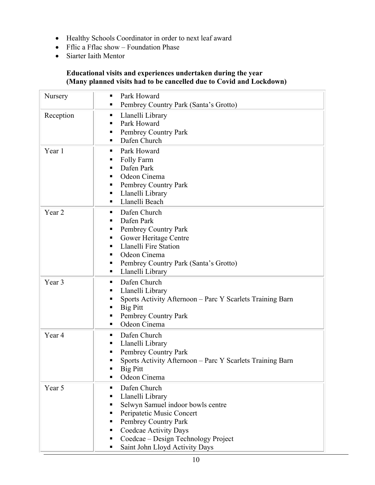- Healthy Schools Coordinator in order to next leaf award
- Fflic a Fflac show Foundation Phase
- Siarter Iaith Mentor

#### **Educational visits and experiences undertaken during the year (Many planned visits had to be cancelled due to Covid and Lockdown)**

| Nursery   | Park Howard<br>п<br>Pembrey Country Park (Santa's Grotto)                                                                                                                                                                                             |
|-----------|-------------------------------------------------------------------------------------------------------------------------------------------------------------------------------------------------------------------------------------------------------|
| Reception | Llanelli Library<br>٠<br>Park Howard<br>٠<br>Pembrey Country Park<br>п<br>Dafen Church                                                                                                                                                                |
| Year 1    | Park Howard<br>٠<br>Folly Farm<br>п<br>Dafen Park<br>٠<br>Odeon Cinema<br>Pembrey Country Park<br>Llanelli Library<br>٠<br>Llanelli Beach<br>٠                                                                                                        |
| Year 2    | Dafen Church<br>٠<br>Dafen Park<br>٠<br>Pembrey Country Park<br>п<br>Gower Heritage Centre<br>п<br>Llanelli Fire Station<br>п<br>Odeon Cinema<br>п<br>Pembrey Country Park (Santa's Grotto)<br>٠<br>Llanelli Library<br>٠                             |
| Year 3    | Dafen Church<br>٠<br>Llanelli Library<br>Sports Activity Afternoon – Parc Y Scarlets Training Barn<br>п<br>Big Pitt<br>Pembrey Country Park<br>Odeon Cinema                                                                                           |
| Year 4    | Dafen Church<br>٠<br>Llanelli Library<br>٠<br>Pembrey Country Park<br>п<br>Sports Activity Afternoon - Parc Y Scarlets Training Barn<br>Big Pitt<br>Odeon Cinema                                                                                      |
| Year 5    | Dafen Church<br>٠<br>Llanelli Library<br>٠<br>Selwyn Samuel indoor bowls centre<br>Peripatetic Music Concert<br>п<br>Pembrey Country Park<br>Coedcae Activity Days<br>Coedcae - Design Technology Project<br>▪<br>Saint John Lloyd Activity Days<br>٠ |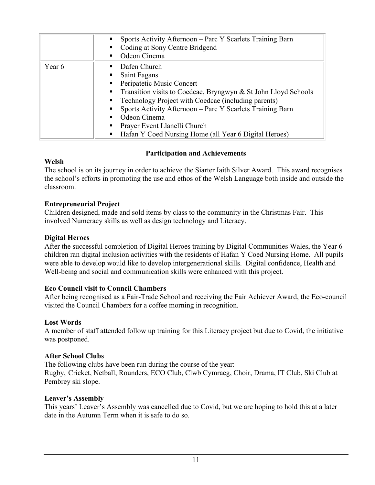|        | Sports Activity Afternoon – Parc Y Scarlets Training Barn<br>٠<br>Coding at Sony Centre Bridgend<br>Odeon Cinema<br>٠                                                                                                                                                                                                                                                                                                        |
|--------|------------------------------------------------------------------------------------------------------------------------------------------------------------------------------------------------------------------------------------------------------------------------------------------------------------------------------------------------------------------------------------------------------------------------------|
| Year 6 | Dafen Church<br>п.<br>Saint Fagans<br>п.<br>Peripatetic Music Concert<br>$\blacksquare$ .<br>Transition visits to Coedcae, Bryngwyn & St John Lloyd Schools<br>$\blacksquare$ .<br>Technology Project with Coedcae (including parents)<br>п.<br>Sports Activity Afternoon – Parc Y Scarlets Training Barn<br>٠<br>Odeon Cinema<br>Prayer Event Llanelli Church<br>Hafan Y Coed Nursing Home (all Year 6 Digital Heroes)<br>٠ |

#### **Participation and Achievements**

#### **Welsh**

The school is on its journey in order to achieve the Siarter Iaith Silver Award. This award recognises the school's efforts in promoting the use and ethos of the Welsh Language both inside and outside the classroom.

#### **Entrepreneurial Project**

Children designed, made and sold items by class to the community in the Christmas Fair. This involved Numeracy skills as well as design technology and Literacy.

#### **Digital Heroes**

After the successful completion of Digital Heroes training by Digital Communities Wales, the Year 6 children ran digital inclusion activities with the residents of Hafan Y Coed Nursing Home. All pupils were able to develop would like to develop intergenerational skills. Digital confidence, Health and Well-being and social and communication skills were enhanced with this project.

#### **Eco Council visit to Council Chambers**

After being recognised as a Fair-Trade School and receiving the Fair Achiever Award, the Eco-council visited the Council Chambers for a coffee morning in recognition.

#### **Lost Words**

A member of staff attended follow up training for this Literacy project but due to Covid, the initiative was postponed.

#### **After School Clubs**

The following clubs have been run during the course of the year: Rugby, Cricket, Netball, Rounders, ECO Club, Clwb Cymraeg, Choir, Drama, IT Club, Ski Club at Pembrey ski slope.

#### **Leaver's Assembly**

This years' Leaver's Assembly was cancelled due to Covid, but we are hoping to hold this at a later date in the Autumn Term when it is safe to do so.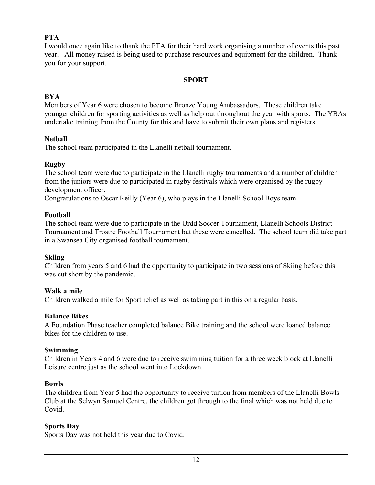#### **PTA**

I would once again like to thank the PTA for their hard work organising a number of events this past year. All money raised is being used to purchase resources and equipment for the children. Thank you for your support.

#### **SPORT**

#### **BYA**

Members of Year 6 were chosen to become Bronze Young Ambassadors. These children take younger children for sporting activities as well as help out throughout the year with sports. The YBAs undertake training from the County for this and have to submit their own plans and registers.

#### **Netball**

The school team participated in the Llanelli netball tournament.

#### **Rugby**

The school team were due to participate in the Llanelli rugby tournaments and a number of children from the juniors were due to participated in rugby festivals which were organised by the rugby development officer.

Congratulations to Oscar Reilly (Year 6), who plays in the Llanelli School Boys team.

#### **Football**

The school team were due to participate in the Urdd Soccer Tournament, Llanelli Schools District Tournament and Trostre Football Tournament but these were cancelled. The school team did take part in a Swansea City organised football tournament.

#### **Skiing**

Children from years 5 and 6 had the opportunity to participate in two sessions of Skiing before this was cut short by the pandemic.

#### **Walk a mile**

Children walked a mile for Sport relief as well as taking part in this on a regular basis.

#### **Balance Bikes**

A Foundation Phase teacher completed balance Bike training and the school were loaned balance bikes for the children to use.

#### **Swimming**

Children in Years 4 and 6 were due to receive swimming tuition for a three week block at Llanelli Leisure centre just as the school went into Lockdown.

#### **Bowls**

The children from Year 5 had the opportunity to receive tuition from members of the Llanelli Bowls Club at the Selwyn Samuel Centre, the children got through to the final which was not held due to Covid.

#### **Sports Day**

Sports Day was not held this year due to Covid.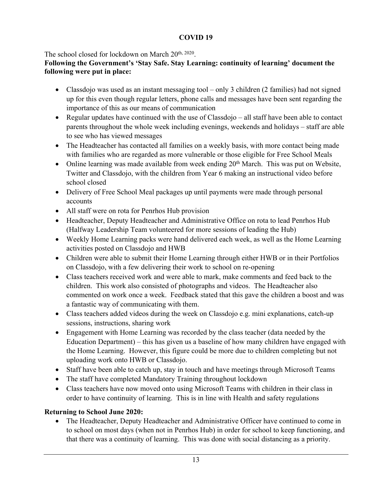#### **COVID 19**

The school closed for lockdown on March 20<sup>th, 2020</sup>.

#### **Following the Government's 'Stay Safe. Stay Learning: continuity of learning' document the following were put in place:**

- Classdojo was used as an instant messaging tool only 3 children (2 families) had not signed up for this even though regular letters, phone calls and messages have been sent regarding the importance of this as our means of communication
- Regular updates have continued with the use of Classdojo all staff have been able to contact parents throughout the whole week including evenings, weekends and holidays – staff are able to see who has viewed messages
- The Headteacher has contacted all families on a weekly basis, with more contact being made with families who are regarded as more vulnerable or those eligible for Free School Meals
- Online learning was made available from week ending  $20<sup>th</sup>$  March. This was put on Website, Twitter and Classdojo, with the children from Year 6 making an instructional video before school closed
- Delivery of Free School Meal packages up until payments were made through personal accounts
- All staff were on rota for Penrhos Hub provision
- Headteacher, Deputy Headteacher and Administrative Office on rota to lead Penrhos Hub (Halfway Leadership Team volunteered for more sessions of leading the Hub)
- Weekly Home Learning packs were hand delivered each week, as well as the Home Learning activities posted on Classdojo and HWB
- Children were able to submit their Home Learning through either HWB or in their Portfolios on Classdojo, with a few delivering their work to school on re-opening
- Class teachers received work and were able to mark, make comments and feed back to the children. This work also consisted of photographs and videos. The Headteacher also commented on work once a week. Feedback stated that this gave the children a boost and was a fantastic way of communicating with them.
- Class teachers added videos during the week on Classdojo e.g. mini explanations, catch-up sessions, instructions, sharing work
- Engagement with Home Learning was recorded by the class teacher (data needed by the Education Department) – this has given us a baseline of how many children have engaged with the Home Learning. However, this figure could be more due to children completing but not uploading work onto HWB or Classdojo.
- Staff have been able to catch up, stay in touch and have meetings through Microsoft Teams
- The staff have completed Mandatory Training throughout lockdown
- Class teachers have now moved onto using Microsoft Teams with children in their class in order to have continuity of learning. This is in line with Health and safety regulations

#### **Returning to School June 2020:**

• The Headteacher, Deputy Headteacher and Administrative Officer have continued to come in to school on most days (when not in Penrhos Hub) in order for school to keep functioning, and that there was a continuity of learning. This was done with social distancing as a priority.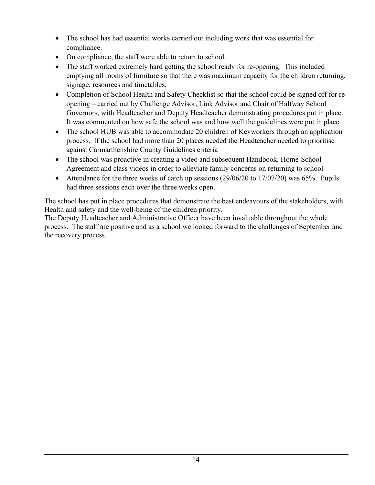- The school has had essential works carried out including work that was essential for compliance.
- On compliance, the staff were able to return to school.
- The staff worked extremely hard getting the school ready for re-opening. This included emptying all rooms of furniture so that there was maximum capacity for the children returning, signage, resources and timetables.
- Completion of School Health and Safety Checklist so that the school could be signed off for reopening – carried out by Challenge Advisor, Link Advisor and Chair of Halfway School Governors, with Headteacher and Deputy Headteacher demonstrating procedures put in place. It was commented on how safe the school was and how well the guidelines were put in place
- The school HUB was able to accommodate 20 children of Keyworkers through an application process. If the school had more than 20 places needed the Headteacher needed to prioritise against Carmarthenshire County Guidelines criteria
- The school was proactive in creating a video and subsequent Handbook, Home-School Agreement and class videos in order to alleviate family concerns on returning to school
- Attendance for the three weeks of catch up sessions (29/06/20 to 17/07/20) was 65%. Pupils had three sessions each over the three weeks open.

The school has put in place procedures that demonstrate the best endeavours of the stakeholders, with Health and safety and the well-being of the children priority.

The Deputy Headteacher and Administrative Officer have been invaluable throughout the whole process. The staff are positive and as a school we looked forward to the challenges of September and the recovery process.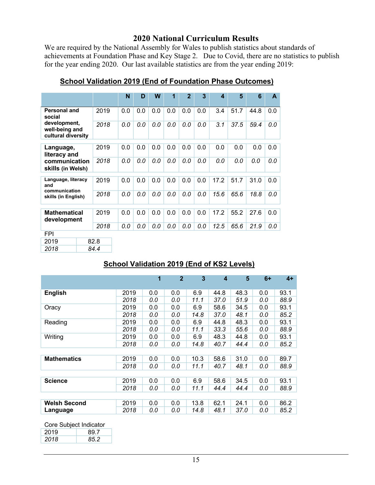#### **2020 National Curriculum Results**

We are required by the National Assembly for Wales to publish statistics about standards of achievements at Foundation Phase and Key Stage 2. Due to Covid, there are no statistics to publish for the year ending 2020. Our last available statistics are from the year ending 2019:

|                                                      |  |      | N   | D   | W   | 1   | $\overline{2}$ | 3   | $\boldsymbol{A}$ | 5    | 6    | A   |
|------------------------------------------------------|--|------|-----|-----|-----|-----|----------------|-----|------------------|------|------|-----|
|                                                      |  |      |     |     |     |     |                |     |                  |      |      |     |
| Personal and<br>social                               |  | 2019 | 0.0 | 0.0 | 0.0 | 0.0 | 0.0            | 0.0 | 3.4              | 51.7 | 44.8 | 0.0 |
| development,<br>well-being and<br>cultural diversity |  | 2018 | 0.0 | 0.0 | 0.0 | 0.0 | 0.0            | 0.0 | 3.1              | 37.5 | 59.4 | 0.0 |
| Language,<br>literacy and                            |  | 2019 | 0.0 | 0.0 | 0.0 | 0.0 | 0.0            | 0.0 | 0.0              | 0.0  | 0.0  | 0.0 |
| communication<br>skills (in Welsh)                   |  | 2018 | 0.0 | 0.0 | 0.0 | 0.0 | 0.0            | 0.0 | 0.0              | 0.0  | 0.0  | 0.0 |
| Language, literacy<br>and                            |  | 2019 | 0.0 | 0.0 | 0.0 | 0.0 | 0.0            | 0.0 | 17.2             | 51.7 | 31.0 | 0.0 |
| communication<br>skills (in English)                 |  | 2018 | 0.0 | 0.0 | 0.0 | 0.0 | 0.0            | 0.0 | 15.6             | 65.6 | 18.8 | 0.0 |
| <b>Mathematical</b>                                  |  | 2019 | 0.0 | 0.0 | 0.0 | 0.0 | 0.0            | 0.0 | 17.2             | 55.2 | 27.6 | 0.0 |
| development                                          |  |      |     |     |     |     |                |     |                  |      |      |     |
|                                                      |  | 2018 | 0.0 | 0.0 | 0.0 | 0.0 | 0.0            | 0.0 | 12.5             | 65.6 | 21.9 | 0.0 |
| <b>FPI</b>                                           |  |      |     |     |     |     |                |     |                  |      |      |     |
| 2019                                                 |  | 82.8 |     |     |     |     |                |     |                  |      |      |     |
| 2018                                                 |  | 84.4 |     |     |     |     |                |     |                  |      |      |     |

#### **School Validation 2019 (End of Foundation Phase Outcomes)**

#### **School Validation 2019 (End of KS2 Levels)**

|                     |      | 1   | $\mathbf{2}$ | 3    | $\boldsymbol{4}$ | 5    | $6+$ | $4+$ |
|---------------------|------|-----|--------------|------|------------------|------|------|------|
| <b>English</b>      | 2019 | 0.0 | 0.0          | 6.9  | 44.8             | 48.3 | 0.0  | 93.1 |
|                     | 2018 | 0.0 | 0.0          | 11.1 | 37.0             | 51.9 | 0.0  | 88.9 |
| Oracy               | 2019 | 0.0 | 0.0          | 6.9  | 58.6             | 34.5 | 0.0  | 93.1 |
|                     | 2018 | 0.0 | 0.0          | 14.8 | 37.0             | 48.1 | 0.0  | 85.2 |
| Reading             | 2019 | 0.0 | 0.0          | 6.9  | 44.8             | 48.3 | 0.0  | 93.1 |
|                     | 2018 | 0.0 | 0.0          | 11.1 | 33.3             | 55.6 | 0.0  | 88.9 |
| Writing             | 2019 | 0.0 | 0.0          | 6.9  | 48.3             | 44.8 | 0.0  | 93.1 |
|                     | 2018 | 0.0 | 0.0          | 14.8 | 40.7             | 44.4 | 0.0  | 85.2 |
|                     |      |     |              |      |                  |      |      |      |
| <b>Mathematics</b>  | 2019 | 0.0 | 0.0          | 10.3 | 58.6             | 31.0 | 0.0  | 89.7 |
|                     | 2018 | 0.0 | 0.0          | 11.1 | 40.7             | 48.1 | 0.0  | 88.9 |
|                     |      |     |              |      |                  |      |      |      |
| <b>Science</b>      | 2019 | 0.0 | 0.0          | 6.9  | 58.6             | 34.5 | 0.0  | 93.1 |
|                     | 2018 | 0.0 | 0.0          | 11.1 | 44.4             | 44.4 | 0.0  | 88.9 |
|                     |      |     |              |      |                  |      |      |      |
| <b>Welsh Second</b> | 2019 | 0.0 | 0.0          | 13.8 | 62.1             | 24.1 | 0.0  | 86.2 |
| Language            | 2018 | 0.0 | 0.0          | 14.8 | 48.1             | 37.0 | 0.0  | 85.2 |

| Core Subject Indicator |  |
|------------------------|--|
|------------------------|--|

| 2019 | 89 7 |
|------|------|
| 2018 | 85 Z |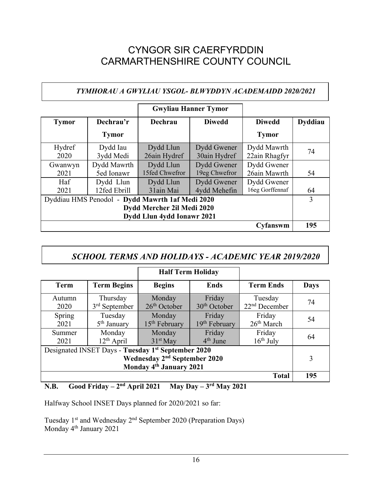### CYNGOR SIR CAERFYRDDIN CARMARTHENSHIRE COUNTY COUNCIL

#### *TYMHORAU A GWYLIAU YSGOL- BLWYDDYN ACADEMAIDD 2020/2021*

|                            |              |                                                 | <b>Gwyliau Hanner Tymor</b> |                 |                |  |  |
|----------------------------|--------------|-------------------------------------------------|-----------------------------|-----------------|----------------|--|--|
| <b>Tymor</b>               | Dechrau'r    | Dechrau                                         | <b>Diwedd</b>               | <b>Diwedd</b>   | <b>Dyddiau</b> |  |  |
|                            | <b>Tymor</b> |                                                 |                             | <b>Tymor</b>    |                |  |  |
| Hydref                     | Dydd Iau     | Dydd Llun                                       | Dydd Gwener                 | Dydd Mawrth     |                |  |  |
| 2020                       | 3ydd Medi    | 26ain Hydref                                    | 30ain Hydref                | 22ain Rhagfyr   | 74             |  |  |
| Gwanwyn                    | Dydd Mawrth  | Dydd Llun                                       | Dydd Gwener                 | Dydd Gwener     |                |  |  |
| 2021                       | 5ed Ionawr   | 15fed Chwefror                                  | 19eg Chwefror               | 26ain Mawrth    | 54             |  |  |
| Haf                        | Dydd Llun    | Dydd Llun                                       | Dydd Gwener                 | Dydd Gwener     |                |  |  |
| 2021                       | 12fed Ebrill | 31ain Mai                                       | 4ydd Mehefin                | 16eg Gorffennaf | 64             |  |  |
|                            |              | Dyddiau HMS Penodol - Dydd Mawrth 1af Medi 2020 |                             |                 | 3              |  |  |
| Dydd Mercher 2il Medi 2020 |              |                                                 |                             |                 |                |  |  |
|                            |              | Dydd Llun 4ydd Ionawr 2021                      |                             |                 |                |  |  |
|                            |              |                                                 |                             | Cyfanswm        | 195            |  |  |

#### *SCHOOL TERMS AND HOLIDAYS - ACADEMIC YEAR 2019/2020*

|                                                                                                                                                   |                                       | <b>Half Term Holiday</b>  |                                    |                                  |             |  |  |  |  |
|---------------------------------------------------------------------------------------------------------------------------------------------------|---------------------------------------|---------------------------|------------------------------------|----------------------------------|-------------|--|--|--|--|
| <b>Term</b>                                                                                                                                       | <b>Term Begins</b>                    | <b>Begins</b>             | <b>Ends</b>                        | <b>Term Ends</b>                 | <b>Days</b> |  |  |  |  |
| Autumn<br>2020                                                                                                                                    | Thursday<br>3 <sup>rd</sup> September | Monday<br>$26th$ October  | Friday<br>30 <sup>th</sup> October | Tuesday<br>$22nd$ December       | 74          |  |  |  |  |
| Spring<br>2021                                                                                                                                    | Tuesday<br>5 <sup>th</sup> January    | Monday<br>$15th$ February | Friday<br>19th February            | Friday<br>26 <sup>th</sup> March | 54          |  |  |  |  |
| Summer<br>2021                                                                                                                                    | Monday<br>$12th$ April                | Monday<br>$31st$ May      | Friday<br>$4th$ June               | Friday<br>$16th$ July            | 64          |  |  |  |  |
| Designated INSET Days - Tuesday 1 <sup>st</sup> September 2020<br>Wednesday 2 <sup>nd</sup> September 2020<br>Monday 4 <sup>th</sup> January 2021 |                                       |                           |                                    |                                  |             |  |  |  |  |
| <b>Total</b>                                                                                                                                      |                                       |                           |                                    |                                  |             |  |  |  |  |

#### **N.B. Good Friday – 2nd April 2021 May Day – 3rd May 2021**

Halfway School INSET Days planned for 2020/2021 so far:

Tuesday 1st and Wednesday 2nd September 2020 (Preparation Days) Monday 4<sup>th</sup> January 2021